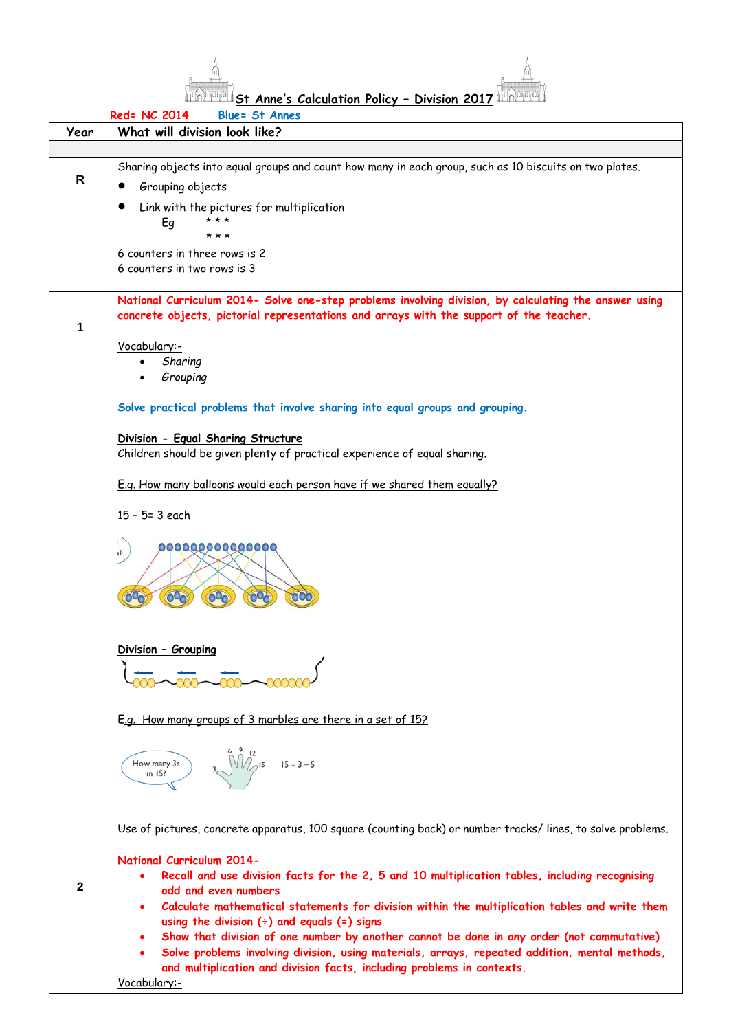

**St Anne's Calculation Policy – Division 2017** 

|      | Red= NC 2014<br><b>Blue= St Annes</b>                                                                       |
|------|-------------------------------------------------------------------------------------------------------------|
| Year | What will division look like?                                                                               |
|      |                                                                                                             |
|      | Sharing objects into equal groups and count how many in each group, such as 10 biscuits on two plates.      |
| R    |                                                                                                             |
|      | Grouping objects                                                                                            |
|      | Link with the pictures for multiplication                                                                   |
|      | * * *<br>Eg                                                                                                 |
|      | * * *                                                                                                       |
|      | 6 counters in three rows is 2                                                                               |
|      | 6 counters in two rows is 3                                                                                 |
|      |                                                                                                             |
|      | National Curriculum 2014- Solve one-step problems involving division, by calculating the answer using       |
|      | concrete objects, pictorial representations and arrays with the support of the teacher.                     |
| 1    |                                                                                                             |
|      |                                                                                                             |
|      | Vocabulary:-                                                                                                |
|      | Sharing                                                                                                     |
|      | Grouping                                                                                                    |
|      |                                                                                                             |
|      | Solve practical problems that involve sharing into equal groups and grouping.                               |
|      |                                                                                                             |
|      | Division - Equal Sharing Structure                                                                          |
|      | Children should be given plenty of practical experience of equal sharing.                                   |
|      |                                                                                                             |
|      | E.g. How many balloons would each person have if we shared them equally?                                    |
|      |                                                                                                             |
|      | $15 \div 5 = 3$ each                                                                                        |
|      |                                                                                                             |
|      |                                                                                                             |
|      | 00000000000000<br>ıll.                                                                                      |
|      |                                                                                                             |
|      |                                                                                                             |
|      | 00 <sub>c</sub><br>600<br>00 <sub>0</sub>                                                                   |
|      |                                                                                                             |
|      |                                                                                                             |
|      |                                                                                                             |
|      | Division - Grouping                                                                                         |
|      |                                                                                                             |
|      |                                                                                                             |
|      |                                                                                                             |
|      | E.g. How many groups of 3 marbles are there in a set of 15?                                                 |
|      |                                                                                                             |
|      |                                                                                                             |
|      | $3\frac{6}{\sqrt{12}}$ 15 $15 \div 3 = 5$<br>How many 3s                                                    |
|      | in 15?                                                                                                      |
|      |                                                                                                             |
|      |                                                                                                             |
|      |                                                                                                             |
|      | Use of pictures, concrete apparatus, 100 square (counting back) or number tracks/lines, to solve problems.  |
|      |                                                                                                             |
|      | <b>National Curriculum 2014-</b>                                                                            |
|      | Recall and use division facts for the 2, 5 and 10 multiplication tables, including recognising              |
| 2    | odd and even numbers                                                                                        |
|      | Calculate mathematical statements for division within the multiplication tables and write them              |
|      | using the division $(*)$ and equals $(=)$ signs                                                             |
|      | Show that division of one number by another cannot be done in any order (not commutative)<br>٠              |
|      | Solve problems involving division, using materials, arrays, repeated addition, mental methods,<br>$\bullet$ |
|      |                                                                                                             |
|      | and multiplication and division facts, including problems in contexts.                                      |
|      | Vocabulary:-                                                                                                |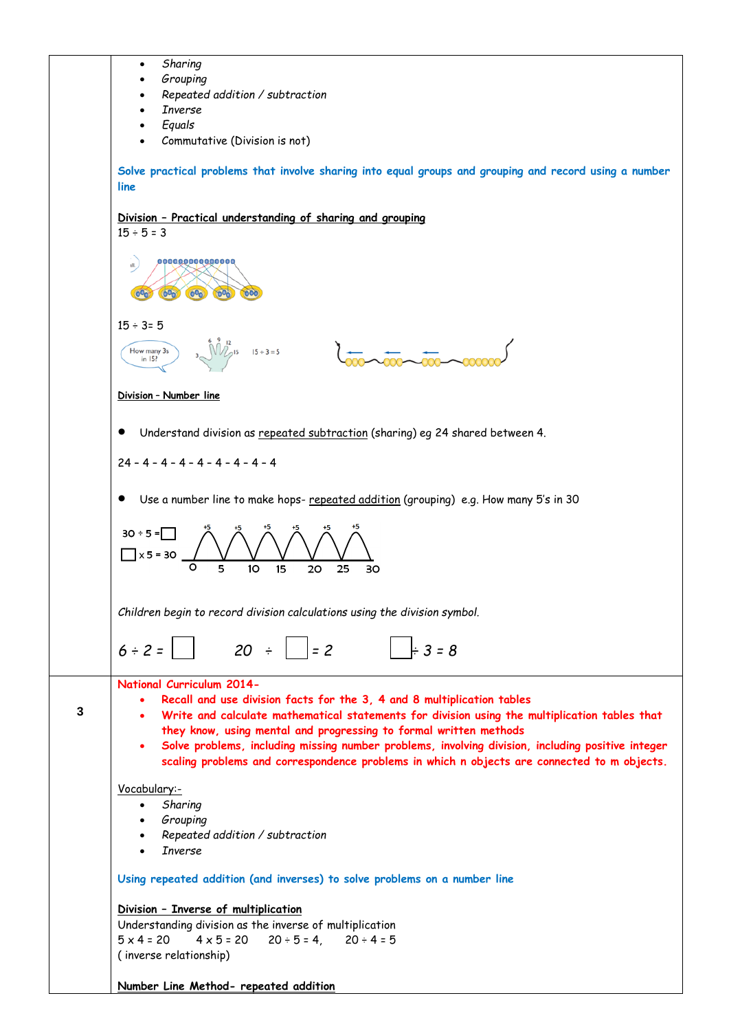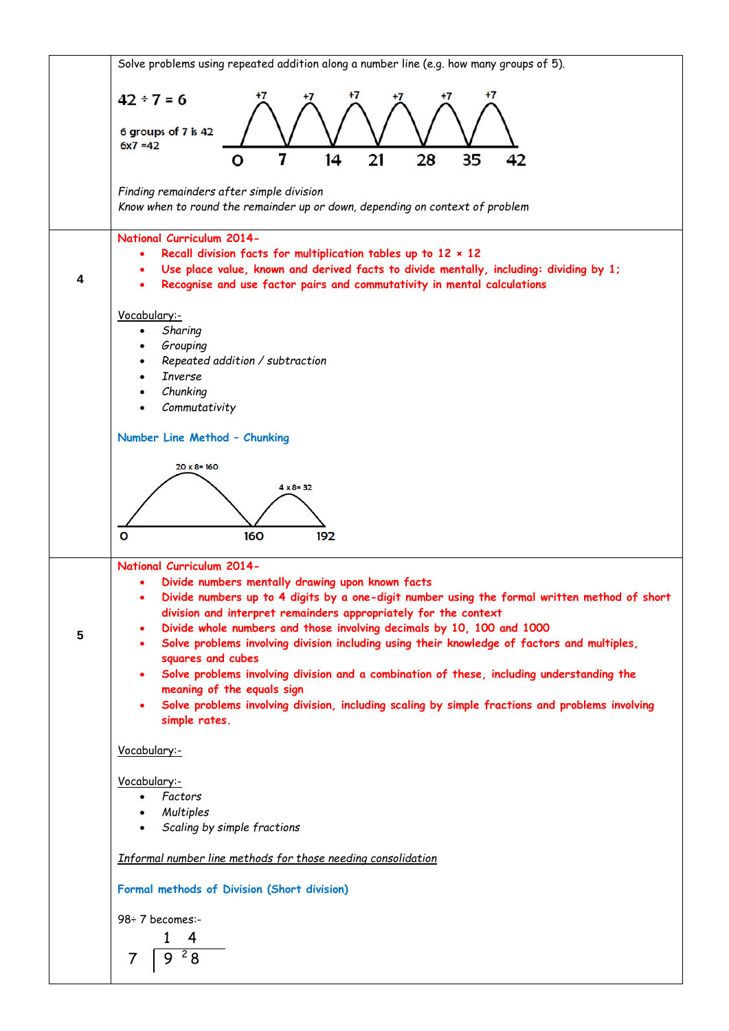